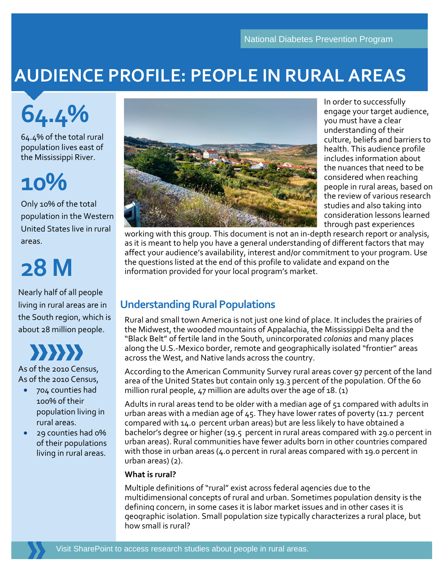### **AUDIENCE PROFILE: PEOPLE IN RURAL AREAS**

# **64.4%**

64.4% of the total rural population lives east of the Mississippi River.

### **10%**

Only 10% of the total population in the Western United States live in rural areas.

## **28 M**

Nearly half of all people living in rural areas are in the South region, which is about 28 million people.



As of the 2010 Census, As of the 2010 Census,

- 704 counties had 100% of their population living in rural areas.
- 29 counties had 0% of their populations living in rural areas.



In order to successfully engage your target audience, you must have a clear understanding of their culture, beliefs and barriers to health. This audience profile includes information about the nuances that need to be considered when reaching people in rural areas, based on the review of various research studies and also taking into consideration lessons learned through past experiences

working with this group. This document is not an in-depth research report or analysis, as it is meant to help you have a general understanding of different factors that may affect your audience's availability, interest and/or commitment to your program. Use the questions listed at the end of this profile to validate and expand on the information provided for your local program's market.

#### **Understanding Rural Populations**

Rural and small town America is not just one kind of place. It includes the prairies of the Midwest, the wooded mountains of Appalachia, the Mississippi Delta and the "Black Belt" of fertile land in the South, unincorporated *colonias* and many places along the U.S.-Mexico border, remote and geographically isolated "frontier" areas across the West, and Native lands across the country.

According to the American Community Survey rural areas cover 97 percent of the land area of the United States but contain only 19.3 percent of the population. Of the 60 million rural people, 47 million are adults over the age of 18. (1)

Adults in rural areas tend to be older with a median age of 51 compared with adults in urban areas with a median age of  $45$ . They have lower rates of poverty (11.7 percent compared with 14.0 percent urban areas) but are less likely to have obtained a bachelor's degree or higher (19.5 percent in rural areas compared with 29.0 percent in urban areas). Rural communities have fewer adults born in other countries compared with those in urban areas (4.0 percent in rural areas compared with 19.0 percent in urban areas) (2).

#### **What is rural?**

Multiple definitions of "rural" exist across federal agencies due to the multidimensional concepts of rural and urban. Sometimes population density is the defining concern, in some cases it is labor market issues and in other cases it is geographic isolation. Small population size typically characterizes a rural place, but how small is rural?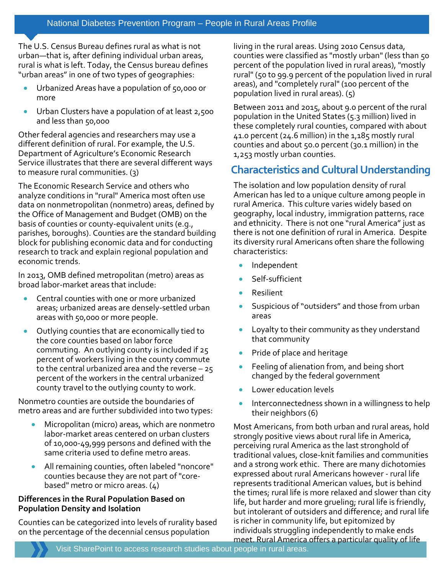The U.S. Census Bureau defines rural as what is not urban—that is, after defining individual urban areas, rural is what is left. Today, the Census bureau defines "urban areas" in one of two types of geographies:

- Urbanized Areas have a population of 50,000 or more
- Urban Clusters have a population of at least 2,500 and less than 50,000

Other federal agencies and researchers may use a different definition of rural. For example, the U.S. Department of Agriculture's Economic Research Service illustrates that there are several different ways to measure rural communities. (3)

The Economic Research Service and others who analyze conditions in "rural" America most often use data on nonmetropolitan (nonmetro) areas, defined by the Office of Management and Budget (OMB) on the basis of counties or county-equivalent units (e.g., parishes, boroughs). Counties are the standard building block for publishing economic data and for conducting research to track and explain regional population and economic trends.

In 2013, OMB defined metropolitan (metro) areas as broad labor-market areas that include:

- Central counties with one or more urbanized areas; urbanized areas are densely-settled urban areas with 50,000 or more people.
- Outlying counties that are economically tied to the core counties based on labor force commuting. An outlying county is included if 25 percent of workers living in the county commute to the central urbanized area and the reverse – 25 percent of the workers in the central urbanized county travel to the outlying county to work.

Nonmetro counties are outside the boundaries of metro areas and are further subdivided into two types:

- Micropolitan (micro) areas, which are nonmetro labor-market areas centered on urban clusters of 10,000-49,999 persons and defined with the same criteria used to define metro areas.
- All remaining counties, often labeled "noncore" counties because they are not part of "corebased" metro or micro areas. (4)

#### **Differences in the Rural Population Based on Population Density and Isolation**

Counties can be categorized into levels of rurality based on the percentage of the decennial census population

living in the rural areas. Using 2010 Census data, counties were classified as "mostly urban" (less than 50 percent of the population lived in rural areas), "mostly rural" (50 to 99.9 percent of the population lived in rural areas), and "completely rural" (100 percent of the population lived in rural areas). (5)

Between 2011 and 2015, about 9.0 percent of the rural population in the United States (5.3 million) lived in these completely rural counties, compared with about  $41.0$  percent (24.6 million) in the  $1.185$  mostly rural counties and about 50.0 percent (30.1 million) in the 1,253 mostly urban counties.

#### **Characteristics and Cultural Understanding**

The isolation and low population density of rural American has led to a unique culture among people in rural America. This culture varies widely based on geography, local industry, immigration patterns, race and ethnicity. There is not one "rural America" just as there is not one definition of rural in America. Despite its diversity rural Americans often share the following characteristics:

- Independent
- Self-sufficient
- Resilient
- Suspicious of "outsiders" and those from urban areas
- Loyalty to their community as they understand that community
- Pride of place and heritage
- Feeling of alienation from, and being short changed by the federal government
- Lower education levels
- Interconnectedness shown in a willingness to help their neighbors (6)

Most Americans, from both urban and rural areas, hold strongly positive views about rural life in America, perceiving rural America as the last stronghold of traditional values, close-knit families and communities and a strong work ethic. There are many dichotomies expressed about rural Americans however - rural life represents traditional American values, but is behind the times; rural life is more relaxed and slower than city life, but harder and more grueling; rural life is friendly, but intolerant of outsiders and difference; and rural life is richer in community life, but epitomized by individuals struggling independently to make ends meet. Rural America offers a particular quality of life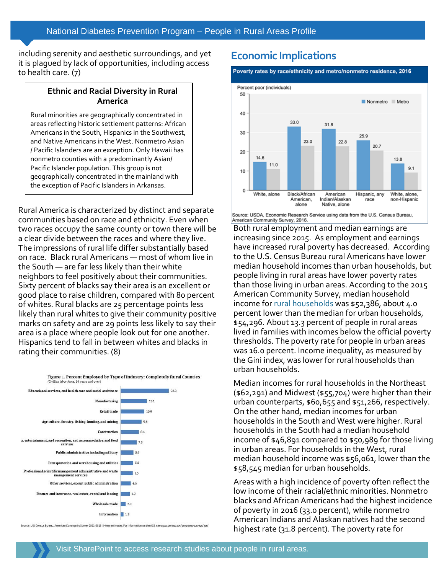including serenity and aesthetic surroundings, and yet it is plagued by lack of opportunities, including access to health care. (7)

#### **Ethnic and Racial Diversity in Rural America**

Rural minorities are geographically concentrated in areas reflecting historic settlement patterns: African Americans in the South, Hispanics in the Southwest, and Native Americans in the West. Nonmetro Asian / Pacific Islanders are an exception. Only Hawaii has nonmetro counties with a predominantly Asian/ Pacific Islander population. This group is not geographically concentrated in the mainland with the exception of Pacific Islanders in Arkansas.

Rural America is characterized by distinct and separate communities based on race and ethnicity. Even when two races occupy the same county or town there will be a clear divide between the races and where they live. The impressions of rural life differ substantially based on race. Black rural Americans — most of whom live in the South — are far less likely than their white neighbors to feel positively about their communities. Sixty percent of blacks say their area is an excellent or good place to raise children, compared with 80 percent of whites. Rural blacks are 25 percentage points less likely than rural whites to give their community positive marks on safety and are 29 points less likely to say their area is a place where people look out for one another. Hispanics tend to fall in between whites and blacks in rating their communities. (8)



Source: U.S. Census Bureau, American Community Survey 2011-2015 5-Year estimates. For information on the ACS, seewww.census.gov/programs-surveys/acs/

#### **Economic Implications**

#### Poverty rates by race/ethnicity and metro/nonmetro residence, 2016



Source: USDA, Economic Research Service using data from the U.S. Census Bureau, American Community Survey, 2016.

Both rural employment and median earnings are increasing since 2015. As employment and earnings have increased rural poverty has decreased. According to the U.S. Census Bureau rural Americans have lower median household incomes than urban households, but people living in rural areas have lower poverty rates than those living in urban areas. According to the 2015 American Community Survey, median household income for [rural households](https://www.census.gov/library/publications/2016/acs/acsgeo-1.html) was \$52,386, about 4.0 percent lower than the median for urban households, \$54,296. About 13.3 percent of people in rural areas lived in families with incomes below the official poverty thresholds. The poverty rate for people in urban areas was 16.0 percent. Income inequality, as measured by the Gini index, was lower for rural households than urban households.

Median incomes for rural households in the Northeast (\$62,291) and Midwest (\$55,704) were higher than their urban counterparts, \$60,655 and \$51,266, respectively. On the other hand, median incomes for urban households in the South and West were higher. Rural households in the South had a median household income of \$46,891 compared to \$50,989 for those living in urban areas. For households in the West, rural median household income was \$56,061, lower than the \$58,545 median for urban households.

Areas with a high incidence of poverty often reflect the low income of their racial/ethnic minorities. Nonmetro blacks and African Americans had the highest incidence of poverty in 2016 (33.0 percent), while nonmetro American Indians and Alaskan natives had the second highest rate (31.8 percent). The poverty rate for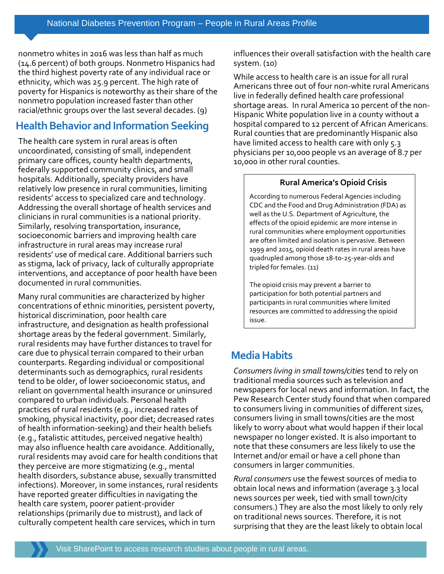nonmetro whites in 2016 was less than half as much (14.6 percent) of both groups. Nonmetro Hispanics had the third highest poverty rate of any individual race or ethnicity, which was 25.9 percent. The high rate of poverty for Hispanics is noteworthy as their share of the nonmetro population increased faster than other racial/ethnic groups over the last several decades. (9)

#### **Health Behavior and Information Seeking**

The health care system in rural areas is often uncoordinated, consisting of small, independent primary care offices, county health departments, federally supported community clinics, and small hospitals. Additionally, specialty providers have relatively low presence in rural communities, limiting residents' access to specialized care and technology. Addressing the overall shortage of health services and clinicians in rural communities is a national priority. Similarly, resolving transportation, insurance, socioeconomic barriers and improving health care infrastructure in rural areas may increase rural residents' use of medical care. Additional barriers such as stigma, lack of privacy, lack of culturally appropriate interventions, and acceptance of poor health have been documented in rural communities.

Many rural communities are characterized by higher concentrations of ethnic minorities, persistent poverty, historical discrimination, poor health care infrastructure, and designation as health professional shortage areas by the federal government. Similarly, rural residents may have further distances to travel for care due to physical terrain compared to their urban counterparts. Regarding individual or compositional determinants such as demographics, rural residents tend to be older, of lower socioeconomic status, and reliant on governmental health insurance or uninsured compared to urban individuals. Personal health practices of rural residents (e.g., increased rates of smoking, physical inactivity, poor diet; decreased rates of health information-seeking) and their health beliefs (e.g., fatalistic attitudes, perceived negative health) may also influence health care avoidance. Additionally, rural residents may avoid care for health conditions that they perceive are more stigmatizing (e.g., mental health disorders, substance abuse, sexually transmitted infections). Moreover, in some instances, rural residents have reported greater difficulties in navigating the health care system, poorer patient-provider relationships (primarily due to mistrust), and lack of culturally competent health care services, which in turn

influences their overall satisfaction with the health care system. (10)

While access to health care is an issue for all rural Americans three out of four non-white rural Americans live in federally defined health care professional shortage areas. In rural America 10 percent of the non-Hispanic White population live in a county without a hospital compared to 12 percent of African Americans. Rural counties that are predominantly Hispanic also have limited access to health care with only 5.3 physicians per 10,000 people vs an average of 8.7 per 10,000 in other rural counties.

#### **Rural America's Opioid Crisis**

According to numerous Federal Agencies including CDC and the Food and Drug Administration (FDA) as well as the U.S. Department of Agriculture, the effects of the opioid epidemic are more intense in rural communities where employment opportunities are often limited and isolation is pervasive. Between 1999 and 2015, opioid death rates in rural areas have quadrupled among those 18-to-25-year-olds and tripled for females. (11)

The opioid crisis may prevent a barrier to participation for both potential partners and participants in rural communities where limited resources are committed to addressing the opioid issue.

#### **Media Habits**

*Consumers living in small towns/cities* tend to rely on traditional media sources such as television and newspapers for local news and information. In fact, the Pew Research Center study found that when compared to consumers living in communities of different sizes, consumers living in small towns/cities are the most likely to worry about what would happen if their local newspaper no longer existed. It is also important to note that these consumers are less likely to use the Internet and/or email or have a cell phone than consumers in larger communities.

*Rural consumers* use the fewest sources of media to obtain local news and information (average 3.3 local news sources per week, tied with small town/city consumers.) They are also the most likely to only rely on traditional news sources. Therefore, it is not surprising that they are the least likely to obtain local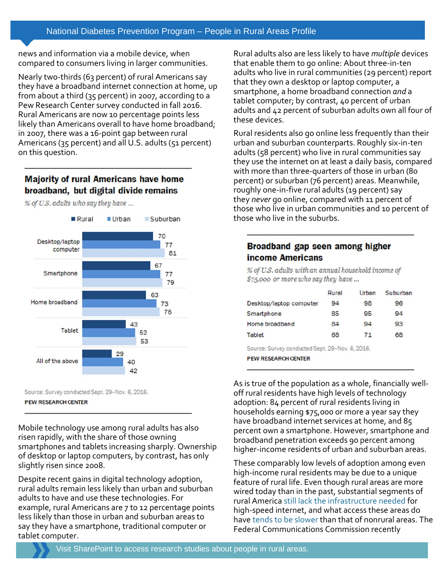news and information via a mobile device, when compared to consumers living in larger communities.

Nearly two-thirds (63 percent) of rural Americans say they have a broadband internet connection at home, up from about a third (35 percent) in 2007, according to a Pew Research Center survey conducted in fall 2016. Rural Americans are now 10 percentage points less likely than Americans overall to have home broadband; in 2007, there was a 16-point gap between rural Americans (35 percent) and all U.S. adults (51 percent) on this question.

#### **Majority of rural Americans have home** broadband, but digital divide remains

Rural Urban Suburban 70 Desktop/laptop 77 computer 81 67 Smartphone 77 79 63 Home broadband 73 76 43 **Tablet** 52 53 All of the above 40 42

% of U.S. adults who say they have ...



Mobile technology use among rural adults has also risen rapidly, with the share of those owning smartphones and tablets increasing sharply. Ownership of desktop or laptop computers, by contrast, has only slightly risen since 2008.

Despite recent gains in digital technology adoption, rural adults remain less likely than urban and suburban adults to have and use these technologies. For example, rural Americans are 7 to 12 percentage points less likely than those in urban and suburban areas to say they have a smartphone, traditional computer or tablet computer.

Rural adults also are less likely to have *multiple* devices that enable them to go online: About three-in-ten adults who live in rural communities (29 percent) report that they own a desktop or laptop computer, a smartphone, a home broadband connection *and* a tablet computer; by contrast, 40 percent of urban adults and 42 percent of suburban adults own all four of these devices.

Rural residents also go online less frequently than their urban and suburban counterparts. Roughly six-in-ten adults (58 percent) who live in rural communities say they use the internet on at least a daily basis, compared with more than three-quarters of those in urban (80 percent) or suburban (76 percent) areas. Meanwhile, roughly one-in-five rural adults (19 percent) say they *never* go online, compared with 11 percent of those who live in urban communities and 10 percent of those who live in the suburbs.

#### Broadband gap seen among higher income Americans

% of U.S. adults with an annual household income of \$75,000 or more who say they have ...

|                                                | Rural | Urban | Suburban |
|------------------------------------------------|-------|-------|----------|
| Desktop/laptop computer                        | 94    | 98    | 96       |
| Smartphone                                     | 85    | 95    | 94       |
| Home broadband                                 | 84    | 94    | 93       |
| Tablet                                         | 68    | 71    | 68       |
| Source: Survey conducted Sept. 29-Nov. 6, 2016 |       |       |          |

Source: Survey conducted Sept. 29–Nov. 6, 2016.

**PEW RESEARCH CENTER** 

As is true of the population as a whole, financially welloff rural residents have high levels of technology adoption: 84 percent of rural residents living in households earning \$75,000 or more a year say they have broadband internet services at home, and 85 percent own a smartphone. However, smartphone and broadband penetration exceeds 90 percent among higher-income residents of urban and suburban areas.

These comparably low levels of adoption among even high-income rural residents may be due to a unique feature of rural life. Even though rural areas are more wired today than in the past, substantial segments of rural America [still lack the infrastructure needed](https://www.brookings.edu/blog/the-avenue/2017/02/13/in-infrastructure-plan-a-big-opening-for-rural-broadband/) for high-speed internet, and what access these areas do have [tends to be slower](https://www.brookings.edu/blog/techtank/2016/07/18/rural-and-urban-america-divided-by-broadband-access/) than that of nonrural areas. The Federal Communications Commission recently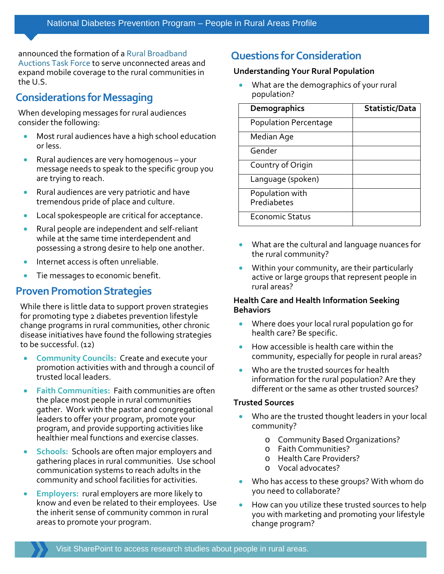announced the formation of a [Rural Broadband](http://transition.fcc.gov/Daily_Releases/Daily_Business/2017/db0403/DOC-344201A1.pdf)  [Auctions Task Force](http://transition.fcc.gov/Daily_Releases/Daily_Business/2017/db0403/DOC-344201A1.pdf) to serve unconnected areas and expand mobile coverage to the rural communities in the U.S.

#### **Considerations for Messaging**

When developing messages for rural audiences consider the following:

- Most rural audiences have a high school education or less.
- Rural audiences are very homogenous your message needs to speak to the specific group you are trying to reach.
- Rural audiences are very patriotic and have tremendous pride of place and culture.
- Local spokespeople are critical for acceptance.
- Rural people are independent and self-reliant while at the same time interdependent and possessing a strong desire to help one another.
- Internet access is often unreliable.
- Tie messages to economic benefit.

#### **Proven Promotion Strategies**

While there is little data to support proven strategies for promoting type 2 diabetes prevention lifestyle change programs in rural communities, other chronic disease initiatives have found the following strategies to be successful. (12)

- **Community Councils:** Create and execute your promotion activities with and through a council of trusted local leaders.
- **Faith Communities:** Faith communities are often the place most people in rural communities gather. Work with the pastor and congregational leaders to offer your program, promote your program, and provide supporting activities like healthier meal functions and exercise classes.
- **Schools:** Schools are often major employers and gathering places in rural communities. Use school communication systems to reach adults in the community and school facilities for activities.
- **Employers:** rural employers are more likely to know and even be related to their employees. Use the inherit sense of community common in rural areas to promote your program.

#### **Questions for Consideration**

#### **Understanding Your Rural Population**

• What are the demographics of your rural population?

| <b>Demographics</b>            | Statistic/Data |
|--------------------------------|----------------|
| <b>Population Percentage</b>   |                |
| Median Age                     |                |
| Gender                         |                |
| Country of Origin              |                |
| Language (spoken)              |                |
| Population with<br>Prediabetes |                |
| <b>Economic Status</b>         |                |

- What are the cultural and language nuances for the rural community?
- Within your community, are their particularly active or large groups that represent people in rural areas?

#### **Health Care and Health Information Seeking Behaviors**

- Where does your local rural population go for health care? Be specific.
- How accessible is health care within the community, especially for people in rural areas?
- Who are the trusted sources for health information for the rural population? Are they different or the same as other trusted sources?

#### **Trusted Sources**

- Who are the trusted thought leaders in your local community?
	- o Community Based Organizations?
	- o Faith Communities?
	- o Health Care Providers?
	- o Vocal advocates?
- Who has access to these groups? With whom do you need to collaborate?
- How can you utilize these trusted sources to help you with marketing and promoting your lifestyle change program?